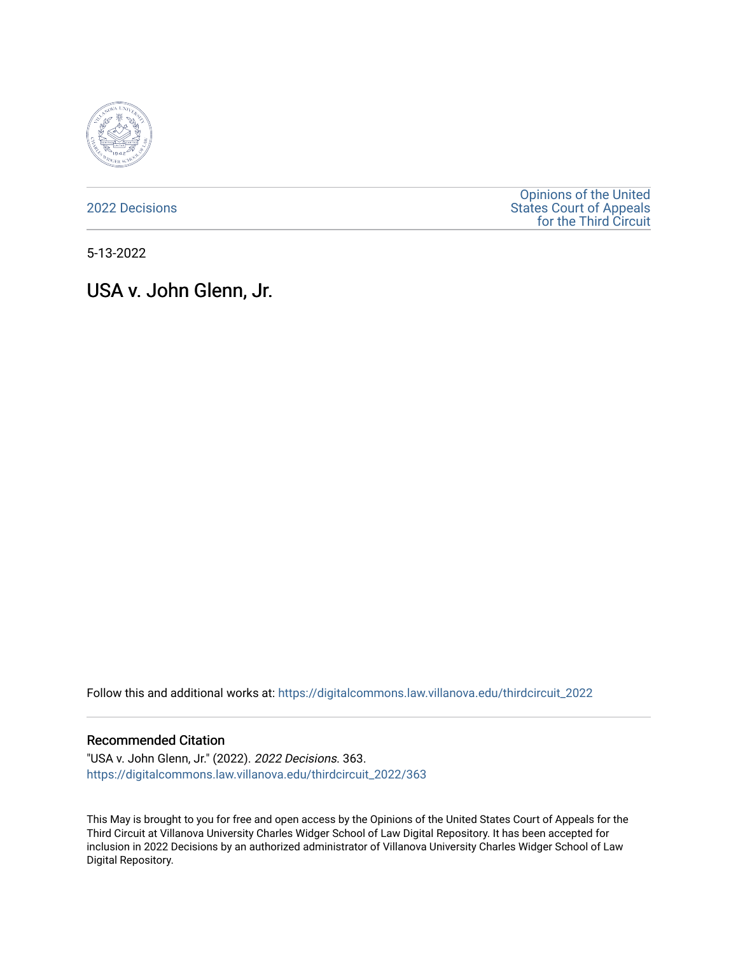

[2022 Decisions](https://digitalcommons.law.villanova.edu/thirdcircuit_2022)

[Opinions of the United](https://digitalcommons.law.villanova.edu/thirdcircuit)  [States Court of Appeals](https://digitalcommons.law.villanova.edu/thirdcircuit)  [for the Third Circuit](https://digitalcommons.law.villanova.edu/thirdcircuit) 

5-13-2022

# USA v. John Glenn, Jr.

Follow this and additional works at: [https://digitalcommons.law.villanova.edu/thirdcircuit\\_2022](https://digitalcommons.law.villanova.edu/thirdcircuit_2022?utm_source=digitalcommons.law.villanova.edu%2Fthirdcircuit_2022%2F363&utm_medium=PDF&utm_campaign=PDFCoverPages) 

#### Recommended Citation

"USA v. John Glenn, Jr." (2022). 2022 Decisions. 363. [https://digitalcommons.law.villanova.edu/thirdcircuit\\_2022/363](https://digitalcommons.law.villanova.edu/thirdcircuit_2022/363?utm_source=digitalcommons.law.villanova.edu%2Fthirdcircuit_2022%2F363&utm_medium=PDF&utm_campaign=PDFCoverPages)

This May is brought to you for free and open access by the Opinions of the United States Court of Appeals for the Third Circuit at Villanova University Charles Widger School of Law Digital Repository. It has been accepted for inclusion in 2022 Decisions by an authorized administrator of Villanova University Charles Widger School of Law Digital Repository.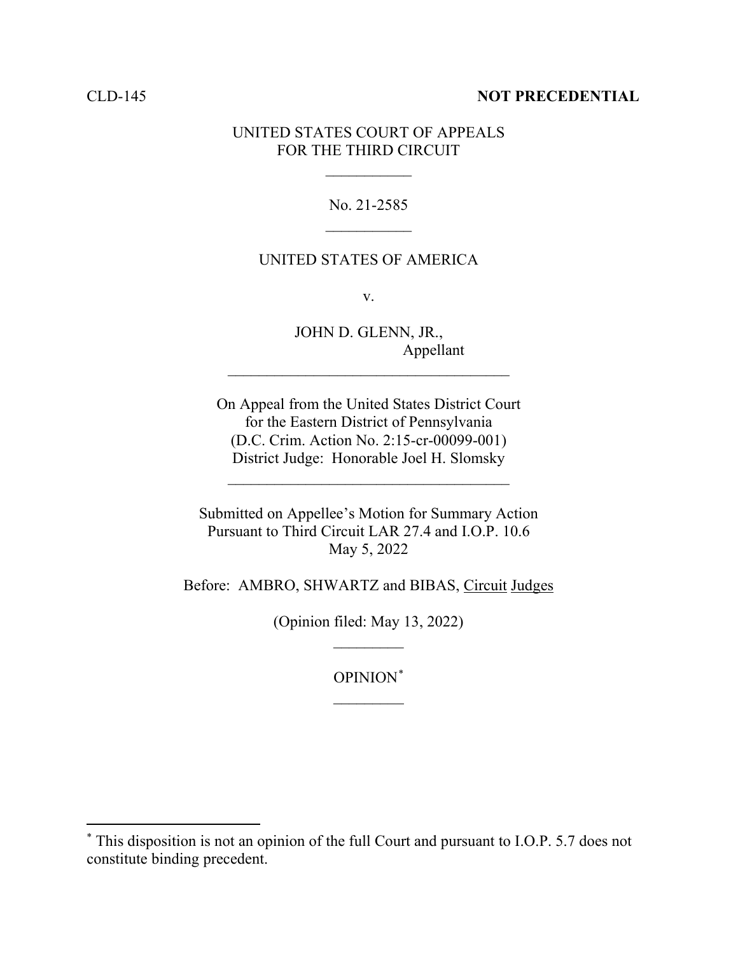### CLD-145 **NOT PRECEDENTIAL**

## UNITED STATES COURT OF APPEALS FOR THE THIRD CIRCUIT

 $\frac{1}{2}$ 

No. 21-2585  $\frac{1}{2}$ 

## UNITED STATES OF AMERICA

v.

JOHN D. GLENN, JR., Appellant

On Appeal from the United States District Court for the Eastern District of Pennsylvania (D.C. Crim. Action No. 2:15-cr-00099-001) District Judge: Honorable Joel H. Slomsky

 $\mathcal{L}_\text{max}$  , where  $\mathcal{L}_\text{max}$  is the set of  $\mathcal{L}_\text{max}$ 

\_\_\_\_\_\_\_\_\_\_\_\_\_\_\_\_\_\_\_\_\_\_\_\_\_\_\_\_\_\_\_\_\_\_\_\_

Submitted on Appellee's Motion for Summary Action Pursuant to Third Circuit LAR 27.4 and I.O.P. 10.6 May 5, 2022

Before: AMBRO, SHWARTZ and BIBAS, Circuit Judges

(Opinion filed: May 13, 2022)  $\overline{\phantom{a}}$ 

> OPINION\*  $\frac{1}{2}$

<sup>\*</sup> This disposition is not an opinion of the full Court and pursuant to I.O.P. 5.7 does not constitute binding precedent.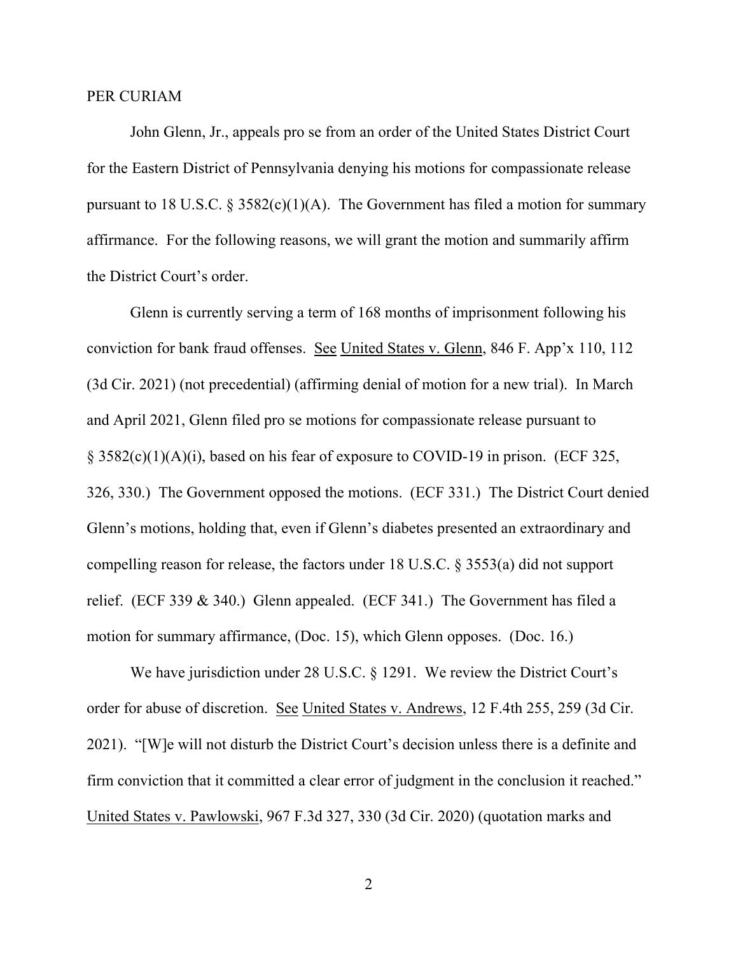#### PER CURIAM

John Glenn, Jr., appeals pro se from an order of the United States District Court for the Eastern District of Pennsylvania denying his motions for compassionate release pursuant to 18 U.S.C.  $\S 3582(c)(1)(A)$ . The Government has filed a motion for summary affirmance. For the following reasons, we will grant the motion and summarily affirm the District Court's order.

Glenn is currently serving a term of 168 months of imprisonment following his conviction for bank fraud offenses. See United States v. Glenn, 846 F. App'x 110, 112 (3d Cir. 2021) (not precedential) (affirming denial of motion for a new trial). In March and April 2021, Glenn filed pro se motions for compassionate release pursuant to § 3582(c)(1)(A)(i), based on his fear of exposure to COVID-19 in prison. (ECF 325, 326, 330.) The Government opposed the motions. (ECF 331.) The District Court denied Glenn's motions, holding that, even if Glenn's diabetes presented an extraordinary and compelling reason for release, the factors under 18 U.S.C. § 3553(a) did not support relief. (ECF 339 & 340.) Glenn appealed. (ECF 341.) The Government has filed a motion for summary affirmance, (Doc. 15), which Glenn opposes. (Doc. 16.)

We have jurisdiction under 28 U.S.C. § 1291. We review the District Court's order for abuse of discretion. See United States v. Andrews, 12 F.4th 255, 259 (3d Cir. 2021). "[W]e will not disturb the District Court's decision unless there is a definite and firm conviction that it committed a clear error of judgment in the conclusion it reached." United States v. Pawlowski, 967 F.3d 327, 330 (3d Cir. 2020) (quotation marks and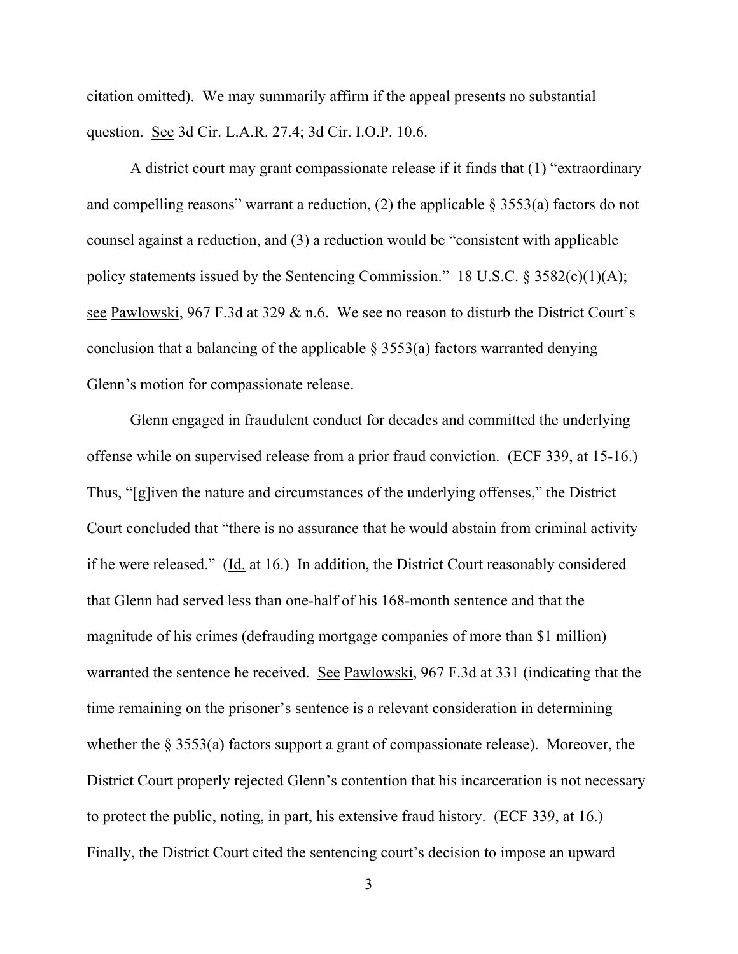citation omitted). We may summarily affirm if the appeal presents no substantial question. See 3d Cir. L.A.R. 27.4; 3d Cir. I.O.P. 10.6.

A district court may grant compassionate release if it finds that (1) "extraordinary and compelling reasons" warrant a reduction, (2) the applicable  $\S 3553(a)$  factors do not counsel against a reduction, and (3) a reduction would be "consistent with applicable policy statements issued by the Sentencing Commission." 18 U.S.C.  $\S 3582(c)(1)(A);$ see Pawlowski, 967 F.3d at 329 & n.6. We see no reason to disturb the District Court's conclusion that a balancing of the applicable  $\S$  3553(a) factors warranted denying Glenn's motion for compassionate release.

Glenn engaged in fraudulent conduct for decades and committed the underlying offense while on supervised release from a prior fraud conviction. (ECF 339, at 15-16.) Thus, "[g]iven the nature and circumstances of the underlying offenses," the District Court concluded that "there is no assurance that he would abstain from criminal activity if he were released." (Id. at 16.) In addition, the District Court reasonably considered that Glenn had served less than one-half of his 168-month sentence and that the magnitude of his crimes (defrauding mortgage companies of more than \$1 million) warranted the sentence he received. See Pawlowski, 967 F.3d at 331 (indicating that the time remaining on the prisoner's sentence is a relevant consideration in determining whether the § 3553(a) factors support a grant of compassionate release). Moreover, the District Court properly rejected Glenn's contention that his incarceration is not necessary to protect the public, noting, in part, his extensive fraud history. (ECF 339, at 16.) Finally, the District Court cited the sentencing court's decision to impose an upward

3